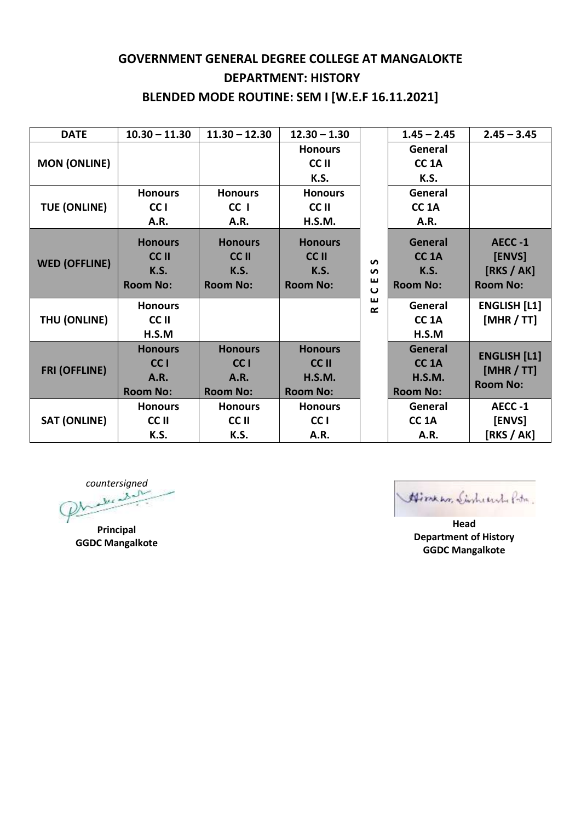## **GOVERNMENT GENERAL DEGREE COLLEGE AT MANGALOKTE DEPARTMENT: HISTORY BLENDED MODE ROUTINE: SEM I [W.E.F 16.11.2021]**

| <b>DATE</b>          | $10.30 - 11.30$ | $11.30 - 12.30$ | $12.30 - 1.30$  |                        | $1.45 - 2.45$     | $2.45 - 3.45$                                        |
|----------------------|-----------------|-----------------|-----------------|------------------------|-------------------|------------------------------------------------------|
| <b>MON (ONLINE)</b>  |                 |                 | <b>Honours</b>  |                        | General           |                                                      |
|                      |                 |                 | CC II           |                        | CC <sub>1</sub> A |                                                      |
|                      |                 |                 | K.S.            |                        | K.S.              |                                                      |
| <b>TUE (ONLINE)</b>  | <b>Honours</b>  | <b>Honours</b>  | <b>Honours</b>  |                        | General           |                                                      |
|                      | CC I            | CC I            | CC II           |                        | CC <sub>1</sub> A |                                                      |
|                      | A.R.            | A.R.            | H.S.M.          |                        | A.R.              |                                                      |
| <b>WED (OFFLINE)</b> | <b>Honours</b>  | <b>Honours</b>  | <b>Honours</b>  |                        | General           | AECC-1                                               |
|                      | <b>CCII</b>     | <b>CCII</b>     | <b>CCII</b>     | $\mathbf{v}$           | CC <sub>1A</sub>  | [ENVS]                                               |
|                      | <b>K.S.</b>     | <b>K.S.</b>     | <b>K.S.</b>     | $\mathbf{v}$           | <b>K.S.</b>       | [RKS/AK]                                             |
|                      | <b>Room No:</b> | <b>Room No:</b> | <b>Room No:</b> | ш<br>$\mathbf{\omega}$ | <b>Room No:</b>   | <b>Room No:</b>                                      |
| THU (ONLINE)         | <b>Honours</b>  |                 |                 | ш<br>$\sim$            | General           | <b>ENGLISH [L1]</b>                                  |
|                      | CC II           |                 |                 |                        | CC <sub>1</sub> A | [MHR / TT]                                           |
|                      | H.S.M           |                 |                 |                        | H.S.M             |                                                      |
| <b>FRI (OFFLINE)</b> | <b>Honours</b>  | <b>Honours</b>  | <b>Honours</b>  |                        | <b>General</b>    |                                                      |
|                      | CC <sub>1</sub> | CC <sub>1</sub> | <b>CCII</b>     |                        | <b>CC 1A</b>      | <b>ENGLISH [L1]</b><br>[MHR / TT]<br><b>Room No:</b> |
|                      | <b>A.R.</b>     | <b>A.R.</b>     | <b>H.S.M.</b>   |                        | <b>H.S.M.</b>     |                                                      |
|                      | <b>Room No:</b> | <b>Room No:</b> | <b>Room No:</b> |                        | <b>Room No:</b>   |                                                      |
| <b>SAT (ONLINE)</b>  | <b>Honours</b>  | <b>Honours</b>  | <b>Honours</b>  |                        | General           | AECC-1                                               |
|                      | CC II           | CC II           | CC <sub>1</sub> |                        | CC <sub>1</sub> A | [ENVS]                                               |
|                      | K.S.            | K.S.            | A.R.            |                        | A.R.              | [RKS/AK]                                             |

*countersigned*

**Principal GGDC Mangalkote**

Himker, Sinheert Pote.

**Head Department of History GGDC Mangalkote**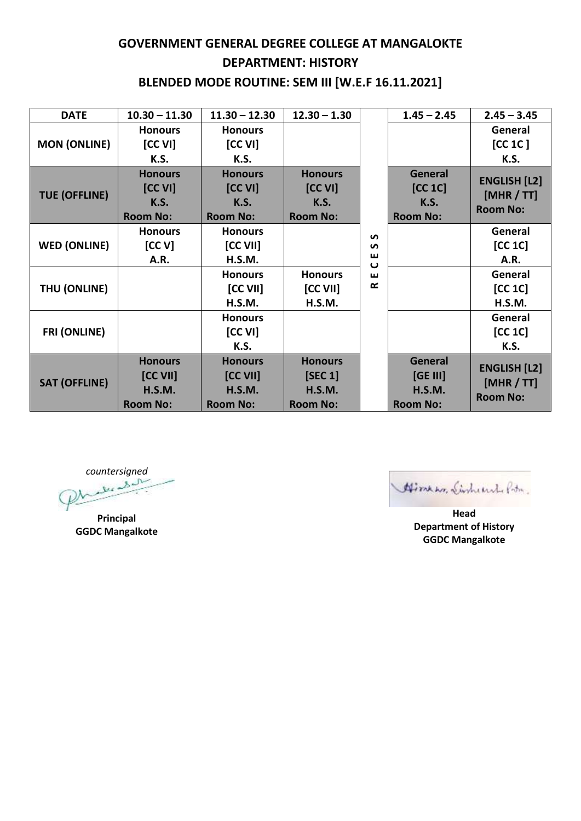## **GOVERNMENT GENERAL DEGREE COLLEGE AT MANGALOKTE DEPARTMENT: HISTORY BLENDED MODE ROUTINE: SEM III [W.E.F 16.11.2021]**

| <b>DATE</b>          | $10.30 - 11.30$ | $11.30 - 12.30$ | $12.30 - 1.30$  |                             | $1.45 - 2.45$   | $2.45 - 3.45$                 |
|----------------------|-----------------|-----------------|-----------------|-----------------------------|-----------------|-------------------------------|
| <b>MON (ONLINE)</b>  | <b>Honours</b>  | <b>Honours</b>  |                 |                             |                 | General                       |
|                      | [CC VI]         | [CC VI]         |                 |                             |                 | [CC 1C]                       |
|                      | K.S.            | K.S.            |                 |                             |                 | K.S.                          |
| <b>TUE (OFFLINE)</b> | <b>Honours</b>  | <b>Honours</b>  | <b>Honours</b>  |                             | General         | <b>ENGLISH [L2]</b>           |
|                      | [CC VI]         | [CC VI]         | [CC VI]         |                             | [CC 1C]         |                               |
|                      | <b>K.S.</b>     | <b>K.S.</b>     | <b>K.S.</b>     |                             | <b>K.S.</b>     | [MHR / TT]<br><b>Room No:</b> |
|                      | <b>Room No:</b> | <b>Room No:</b> | <b>Room No:</b> |                             | <b>Room No:</b> |                               |
| <b>WED (ONLINE)</b>  | <b>Honours</b>  | <b>Honours</b>  |                 | $\mathbf{v}$                |                 | General                       |
|                      | [CC V]          | [CC VII]        |                 | $\mathbf{v}$                |                 | [CC 1C]                       |
|                      | A.R.            | H.S.M.          |                 | ш<br>$\mathbf{\omega}$<br>ш |                 | A.R.                          |
| THU (ONLINE)         |                 | <b>Honours</b>  | <b>Honours</b>  |                             |                 | General                       |
|                      |                 | [CC VII]        | [CC VII]        | œ                           |                 | [CC 1C]                       |
|                      |                 | H.S.M.          | H.S.M.          |                             |                 | H.S.M.                        |
| <b>FRI (ONLINE)</b>  |                 | <b>Honours</b>  |                 |                             |                 | General                       |
|                      |                 | [CC VI]         |                 |                             |                 | [CC 1C]                       |
|                      |                 | K.S.            |                 |                             |                 | K.S.                          |
| <b>SAT (OFFLINE)</b> | <b>Honours</b>  | <b>Honours</b>  | <b>Honours</b>  |                             | <b>General</b>  |                               |
|                      | $[CC$ VII]      | [CC VII]        | [SEC 1]         |                             | [GE III]        | <b>ENGLISH [L2]</b>           |
|                      | <b>H.S.M.</b>   | <b>H.S.M.</b>   | <b>H.S.M.</b>   |                             | <b>H.S.M.</b>   | [MHR / TT]                    |
|                      | <b>Room No:</b> | <b>Room No:</b> | <b>Room No:</b> |                             | <b>Room No:</b> | <b>Room No:</b>               |

*countersigned*

**Principal GGDC Mangalkote**

Himen, Sinhernd Poto.

**Head Department of History GGDC Mangalkote**